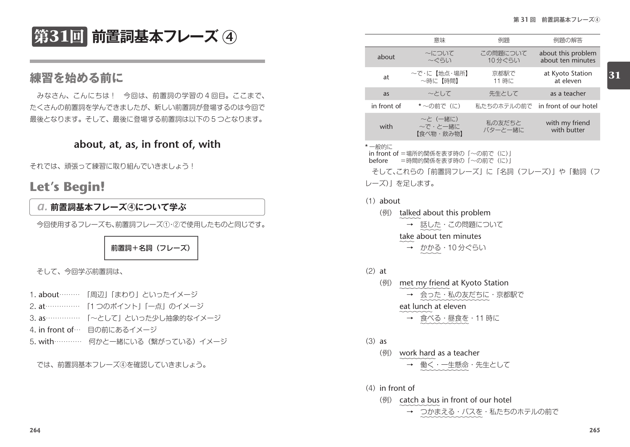**第31回 前置詞基本フレーズ** 4

# **about, at, as, in front of, with**

それでは、頑張って練習に取り組んでいきましょう!

# **Let's Begin!**

## *a.* **前置詞基本フレーズ <sup>4</sup> について学ぶ**

今回使用するフレーズも、前置詞フレーズ①・②で使用したものと同じです。

前置詞+名詞(フレーズ)

そして、今回学ぶ前置詞は、

- 1. about……… 「周辺」「まわり」といったイメージ
- 2. at…………… 「1 つのポイント」「一点」のイメージ
- 3. as …………… 「~として」といった少し抽象的なイメージ
- 4. in front of… 目の前にあるイメージ
- 5. with………… 何かと一緒にいる(繋がっている)イメージ

では、前置詞基本フレーズ④を確認していきましょう。

| 弟51凹  刖直訶奉本ノレー人 ④                  |             | 意味                               | 例題                 | 例題の解答                                   |    |
|------------------------------------|-------------|----------------------------------|--------------------|-----------------------------------------|----|
|                                    | about       | 〜について<br>〜ぐらい                    | この問題について<br>10分ぐらい | about this problem<br>about ten minutes |    |
| 練習を始める前に                           | at          | ~で・に【地点・場所】<br>〜時に【時間】           | 京都駅で<br>11 時に      | at Kyoto Station<br>at eleven           | 31 |
| みなさん、こんにちは! 今回は、前置詞の学習の4回目。ここまで、   | as          | 〜として                             | 先生として              | as a teacher                            |    |
| たくさんの前置詞を学んできましたが、新しい前置詞が登場するのは今回で | in front of | *~の前で (に)                        |                    | 私たちのホテルの前で in front of our hotel        |    |
| 最後となります。そして、最後に登場する前置詞は以下の5つとなります。 | with        | ~と (一緒に)<br>〜で・と一緒に<br>【食べ物・飲み物】 | 私の友だちと<br>バターと一緒に  | with my friend<br>with butter           |    |

### \* 一般的に

in front of =場所的関係を表す時の「~の前で(に) before =時間的関係を表す時の「~の前で(に)

そして、これらの「前置詞フレーズ」に「名詞(フレーズ)」や「動詞(フ レーズ)」を足します。

### (1)about

(例) talked about this problem → 話した・この問題について take about ten minutes → かかる・10 分ぐらい

### $(2)$  at

- (例) met my friend at Kyoto Station → 会った・私の友だちに・京都駅で eat lunch at eleven
	- → 食べる・昼食を・11 時に
- $(3)$  as
	- (例) work hard as a teacher 働く・一生懸命・先生として
- $(4)$  in front of
	- (例) catch a bus in front of our hotel
		- **→ つかまえる・バスを・私たちのホテルの前で**